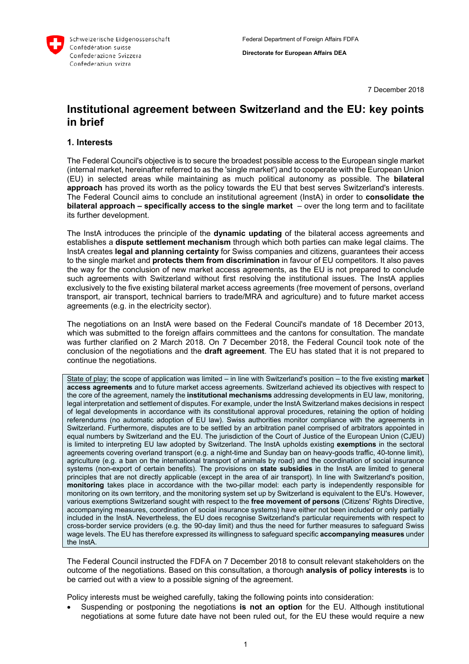

7 December 2018

# **Institutional agreement between Switzerland and the EU: key points in brief**

#### **1. Interests**

The Federal Council's objective is to secure the broadest possible access to the European single market (internal market, hereinafter referred to as the 'single market') and to cooperate with the European Union (EU) in selected areas while maintaining as much political autonomy as possible. The **bilateral approach** has proved its worth as the policy towards the EU that best serves Switzerland's interests. The Federal Council aims to conclude an institutional agreement (InstA) in order to **consolidate the bilateral approach – specifically access to the single market** – over the long term and to facilitate its further development.

The InstA introduces the principle of the **dynamic updating** of the bilateral access agreements and establishes a **dispute settlement mechanism** through which both parties can make legal claims. The InstA creates **legal and planning certainty** for Swiss companies and citizens, guarantees their access to the single market and **protects them from discrimination** in favour of EU competitors. It also paves the way for the conclusion of new market access agreements, as the EU is not prepared to conclude such agreements with Switzerland without first resolving the institutional issues. The InstA applies exclusively to the five existing bilateral market access agreements (free movement of persons, overland transport, air transport, technical barriers to trade/MRA and agriculture) and to future market access agreements (e.g. in the electricity sector).

The negotiations on an InstA were based on the Federal Council's mandate of 18 December 2013, which was submitted to the foreign affairs committees and the cantons for consultation. The mandate was further clarified on 2 March 2018. On 7 December 2018, the Federal Council took note of the conclusion of the negotiations and the **draft agreement**. The EU has stated that it is not prepared to continue the negotiations.

State of play: the scope of application was limited – in line with Switzerland's position – to the five existing **market access agreements** and to future market access agreements. Switzerland achieved its objectives with respect to the core of the agreement, namely the **institutional mechanisms** addressing developments in EU law, monitoring, legal interpretation and settlement of disputes. For example, under the InstA Switzerland makes decisions in respect of legal developments in accordance with its constitutional approval procedures, retaining the option of holding referendums (no automatic adoption of EU law). Swiss authorities monitor compliance with the agreements in Switzerland. Furthermore, disputes are to be settled by an arbitration panel comprised of arbitrators appointed in equal numbers by Switzerland and the EU. The jurisdiction of the Court of Justice of the European Union (CJEU) is limited to interpreting EU law adopted by Switzerland. The InstA upholds existing **exemptions** in the sectoral agreements covering overland transport (e.g. a night-time and Sunday ban on heavy-goods traffic, 40-tonne limit), agriculture (e.g. a ban on the international transport of animals by road) and the coordination of social insurance systems (non-export of certain benefits). The provisions on **state subsidies** in the InstA are limited to general principles that are not directly applicable (except in the area of air transport). In line with Switzerland's position, **monitoring** takes place in accordance with the two-pillar model: each party is independently responsible for monitoring on its own territory, and the monitoring system set up by Switzerland is equivalent to the EU's. However, various exemptions Switzerland sought with respect to the **free movement of persons** (Citizens' Rights Directive, accompanying measures, coordination of social insurance systems) have either not been included or only partially included in the InstA. Nevertheless, the EU does recognise Switzerland's particular requirements with respect to cross-border service providers (e.g. the 90-day limit) and thus the need for further measures to safeguard Swiss wage levels. The EU has therefore expressed its willingness to safeguard specific **accompanying measures** under the InstA.

The Federal Council instructed the FDFA on 7 December 2018 to consult relevant stakeholders on the outcome of the negotiations. Based on this consultation, a thorough **analysis of policy interests** is to be carried out with a view to a possible signing of the agreement.

Policy interests must be weighed carefully, taking the following points into consideration:

 Suspending or postponing the negotiations **is not an option** for the EU. Although institutional negotiations at some future date have not been ruled out, for the EU these would require a new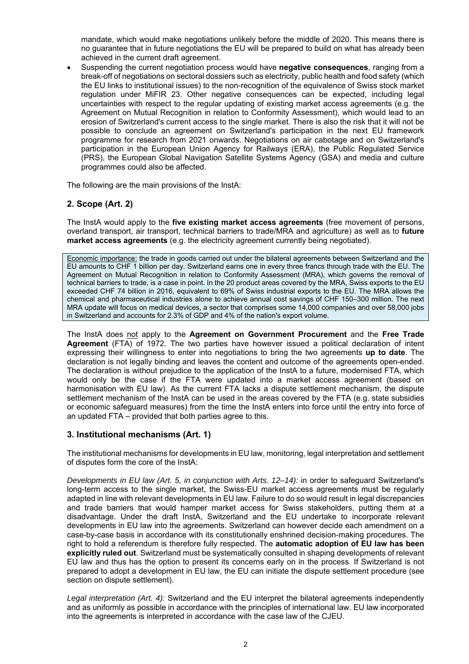mandate, which would make negotiations unlikely before the middle of 2020. This means there is no guarantee that in future negotiations the EU will be prepared to build on what has already been achieved in the current draft agreement.

 Suspending the current negotiation process would have **negative consequences**, ranging from a break-off of negotiations on sectoral dossiers such as electricity, public health and food safety (which the EU links to institutional issues) to the non-recognition of the equivalence of Swiss stock market regulation under MiFIR 23. Other negative consequences can be expected, including legal uncertainties with respect to the regular updating of existing market access agreements (e.g. the Agreement on Mutual Recognition in relation to Conformity Assessment), which would lead to an erosion of Switzerland's current access to the single market. There is also the risk that it will not be possible to conclude an agreement on Switzerland's participation in the next EU framework programme for research from 2021 onwards. Negotiations on air cabotage and on Switzerland's participation in the European Union Agency for Railways (ERA), the Public Regulated Service (PRS), the European Global Navigation Satellite Systems Agency (GSA) and media and culture programmes could also be affected.

The following are the main provisions of the InstA:

#### **2. Scope (Art. 2)**

The InstA would apply to the **five existing market access agreements** (free movement of persons, overland transport, air transport, technical barriers to trade/MRA and agriculture) as well as to **future market access agreements** (e.g. the electricity agreement currently being negotiated).

Economic importance: the trade in goods carried out under the bilateral agreements between Switzerland and the EU amounts to CHF 1 billion per day. Switzerland earns one in every three francs through trade with the EU. The Agreement on Mutual Recognition in relation to Conformity Assessment (MRA), which governs the removal of technical barriers to trade, is a case in point. In the 20 product areas covered by the MRA, Swiss exports to the EU exceeded CHF 74 billion in 2016, equivalent to 69% of Swiss industrial exports to the EU. The MRA allows the chemical and pharmaceutical industries alone to achieve annual cost savings of CHF 150–300 million. The next MRA update will focus on medical devices, a sector that comprises some 14,000 companies and over 58,000 jobs in Switzerland and accounts for 2.3% of GDP and 4% of the nation's export volume.

The InstA does not apply to the **Agreement on Government Procurement** and the **Free Trade Agreement** (FTA) of 1972. The two parties have however issued a political declaration of intent expressing their willingness to enter into negotiations to bring the two agreements **up to date**. The declaration is not legally binding and leaves the content and outcome of the agreements open-ended. The declaration is without prejudice to the application of the InstA to a future, modernised FTA, which would only be the case if the FTA were updated into a market access agreement (based on harmonisation with EU law). As the current FTA lacks a dispute settlement mechanism, the dispute settlement mechanism of the InstA can be used in the areas covered by the FTA (e.g. state subsidies or economic safeguard measures) from the time the InstA enters into force until the entry into force of an updated FTA – provided that both parties agree to this.

#### **3. Institutional mechanisms (Art. 1)**

The institutional mechanisms for developments in EU law, monitoring, legal interpretation and settlement of disputes form the core of the InstA:

*Developments in EU law (Art. 5, in conjunction with Arts. 12–14):* in order to safeguard Switzerland's long-term access to the single market, the Swiss-EU market access agreements must be regularly adapted in line with relevant developments in EU law. Failure to do so would result in legal discrepancies and trade barriers that would hamper market access for Swiss stakeholders, putting them at a disadvantage. Under the draft InstA, Switzerland and the EU undertake to incorporate relevant developments in EU law into the agreements. Switzerland can however decide each amendment on a case-by-case basis in accordance with its constitutionally enshrined decision-making procedures. The right to hold a referendum is therefore fully respected. The **automatic adoption of EU law has been explicitly ruled out**. Switzerland must be systematically consulted in shaping developments of relevant EU law and thus has the option to present its concerns early on in the process. If Switzerland is not prepared to adopt a development in EU law, the EU can initiate the dispute settlement procedure (see section on dispute settlement).

*Legal interpretation (Art. 4):* Switzerland and the EU interpret the bilateral agreements independently and as uniformly as possible in accordance with the principles of international law. EU law incorporated into the agreements is interpreted in accordance with the case law of the CJEU.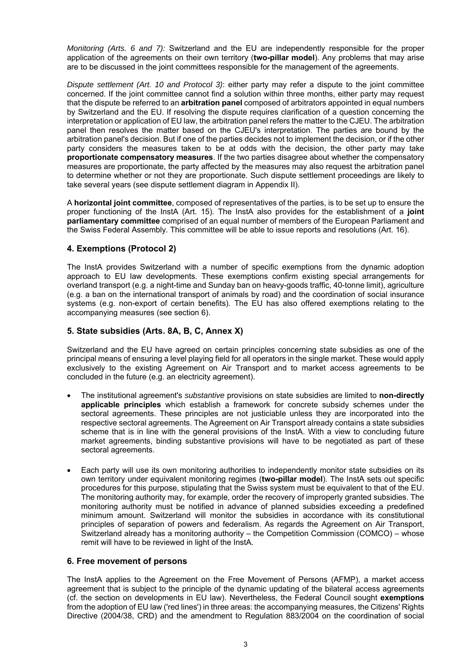*Monitoring (Arts. 6 and 7):* Switzerland and the EU are independently responsible for the proper application of the agreements on their own territory (**two-pillar model**). Any problems that may arise are to be discussed in the joint committees responsible for the management of the agreements.

*Dispute settlement (Art. 10 and Protocol 3)*: either party may refer a dispute to the joint committee concerned. If the joint committee cannot find a solution within three months, either party may request that the dispute be referred to an **arbitration panel** composed of arbitrators appointed in equal numbers by Switzerland and the EU. If resolving the dispute requires clarification of a question concerning the interpretation or application of EU law, the arbitration panel refers the matter to the CJEU. The arbitration panel then resolves the matter based on the CJEU's interpretation. The parties are bound by the arbitration panel's decision. But if one of the parties decides not to implement the decision, or if the other party considers the measures taken to be at odds with the decision, the other party may take **proportionate compensatory measures**. If the two parties disagree about whether the compensatory measures are proportionate, the party affected by the measures may also request the arbitration panel to determine whether or not they are proportionate. Such dispute settlement proceedings are likely to take several years (see dispute settlement diagram in Appendix II).

A **horizontal joint committee**, composed of representatives of the parties, is to be set up to ensure the proper functioning of the InstA (Art. 15). The InstA also provides for the establishment of a **joint parliamentary committee** comprised of an equal number of members of the European Parliament and the Swiss Federal Assembly. This committee will be able to issue reports and resolutions (Art. 16).

# **4. Exemptions (Protocol 2)**

The InstA provides Switzerland with a number of specific exemptions from the dynamic adoption approach to EU law developments. These exemptions confirm existing special arrangements for overland transport (e.g. a night-time and Sunday ban on heavy-goods traffic, 40-tonne limit), agriculture (e.g. a ban on the international transport of animals by road) and the coordination of social insurance systems (e.g. non-export of certain benefits). The EU has also offered exemptions relating to the accompanying measures (see section 6).

# **5. State subsidies (Arts. 8A, B, C, Annex X)**

Switzerland and the EU have agreed on certain principles concerning state subsidies as one of the principal means of ensuring a level playing field for all operators in the single market. These would apply exclusively to the existing Agreement on Air Transport and to market access agreements to be concluded in the future (e.g. an electricity agreement).

- The institutional agreement's *substantive* provisions on state subsidies are limited to **non-directly applicable principles** which establish a framework for concrete subsidy schemes under the sectoral agreements. These principles are not justiciable unless they are incorporated into the respective sectoral agreements. The Agreement on Air Transport already contains a state subsidies scheme that is in line with the general provisions of the InstA. With a view to concluding future market agreements, binding substantive provisions will have to be negotiated as part of these sectoral agreements.
- Each party will use its own monitoring authorities to independently monitor state subsidies on its own territory under equivalent monitoring regimes (**two-pillar model**). The InstA sets out specific procedures for this purpose, stipulating that the Swiss system must be equivalent to that of the EU. The monitoring authority may, for example, order the recovery of improperly granted subsidies. The monitoring authority must be notified in advance of planned subsidies exceeding a predefined minimum amount. Switzerland will monitor the subsidies in accordance with its constitutional principles of separation of powers and federalism. As regards the Agreement on Air Transport, Switzerland already has a monitoring authority – the Competition Commission (COMCO) – whose remit will have to be reviewed in light of the InstA.

# **6. Free movement of persons**

The InstA applies to the Agreement on the Free Movement of Persons (AFMP), a market access agreement that is subject to the principle of the dynamic updating of the bilateral access agreements (cf. the section on developments in EU law). Nevertheless, the Federal Council sought **exemptions** from the adoption of EU law ('red lines') in three areas: the accompanying measures, the Citizens' Rights Directive (2004/38, CRD) and the amendment to Regulation 883/2004 on the coordination of social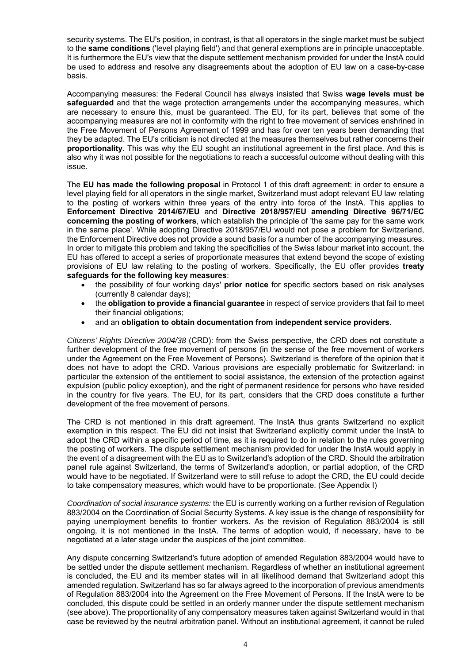security systems. The EU's position, in contrast, is that all operators in the single market must be subject to the **same conditions** ('level playing field') and that general exemptions are in principle unacceptable. It is furthermore the EU's view that the dispute settlement mechanism provided for under the InstA could be used to address and resolve any disagreements about the adoption of EU law on a case-by-case basis.

Accompanying measures: the Federal Council has always insisted that Swiss **wage levels must be safeguarded** and that the wage protection arrangements under the accompanying measures, which are necessary to ensure this, must be guaranteed. The EU, for its part, believes that some of the accompanying measures are not in conformity with the right to free movement of services enshrined in the Free Movement of Persons Agreement of 1999 and has for over ten years been demanding that they be adapted. The EU's criticism is not directed at the measures themselves but rather concerns their **proportionality**. This was why the EU sought an institutional agreement in the first place. And this is also why it was not possible for the negotiations to reach a successful outcome without dealing with this issue.

The **EU has made the following proposal** in Protocol 1 of this draft agreement: in order to ensure a level playing field for all operators in the single market, Switzerland must adopt relevant EU law relating to the posting of workers within three years of the entry into force of the InstA. This applies to **Enforcement Directive 2014/67/EU** and **Directive 2018/957/EU amending Directive 96/71/EC concerning the posting of workers**, which establish the principle of 'the same pay for the same work in the same place'. While adopting Directive 2018/957/EU would not pose a problem for Switzerland, the Enforcement Directive does not provide a sound basis for a number of the accompanying measures. In order to mitigate this problem and taking the specificities of the Swiss labour market into account, the EU has offered to accept a series of proportionate measures that extend beyond the scope of existing provisions of EU law relating to the posting of workers. Specifically, the EU offer provides **treaty safeguards for the following key measures**:

- the possibility of four working days' **prior notice** for specific sectors based on risk analyses (currently 8 calendar days);
- the **obligation to provide a financial guarantee** in respect of service providers that fail to meet their financial obligations;
- and an **obligation to obtain documentation from independent service providers**.

*Citizens' Rights Directive 2004/38* (CRD): from the Swiss perspective, the CRD does not constitute a further development of the free movement of persons (in the sense of the free movement of workers under the Agreement on the Free Movement of Persons). Switzerland is therefore of the opinion that it does not have to adopt the CRD. Various provisions are especially problematic for Switzerland: in particular the extension of the entitlement to social assistance, the extension of the protection against expulsion (public policy exception), and the right of permanent residence for persons who have resided in the country for five years. The EU, for its part, considers that the CRD does constitute a further development of the free movement of persons.

The CRD is not mentioned in this draft agreement. The InstA thus grants Switzerland no explicit exemption in this respect. The EU did not insist that Switzerland explicitly commit under the InstA to adopt the CRD within a specific period of time, as it is required to do in relation to the rules governing the posting of workers. The dispute settlement mechanism provided for under the InstA would apply in the event of a disagreement with the EU as to Switzerland's adoption of the CRD. Should the arbitration panel rule against Switzerland, the terms of Switzerland's adoption, or partial adoption, of the CRD would have to be negotiated. If Switzerland were to still refuse to adopt the CRD, the EU could decide to take compensatory measures, which would have to be proportionate. (See Appendix I)

*Coordination of social insurance systems:* the EU is currently working on a further revision of Regulation 883/2004 on the Coordination of Social Security Systems. A key issue is the change of responsibility for paying unemployment benefits to frontier workers. As the revision of Regulation 883/2004 is still ongoing, it is not mentioned in the InstA. The terms of adoption would, if necessary, have to be negotiated at a later stage under the auspices of the joint committee.

Any dispute concerning Switzerland's future adoption of amended Regulation 883/2004 would have to be settled under the dispute settlement mechanism. Regardless of whether an institutional agreement is concluded, the EU and its member states will in all likelihood demand that Switzerland adopt this amended regulation. Switzerland has so far always agreed to the incorporation of previous amendments of Regulation 883/2004 into the Agreement on the Free Movement of Persons. If the InstA were to be concluded, this dispute could be settled in an orderly manner under the dispute settlement mechanism (see above). The proportionality of any compensatory measures taken against Switzerland would in that case be reviewed by the neutral arbitration panel. Without an institutional agreement, it cannot be ruled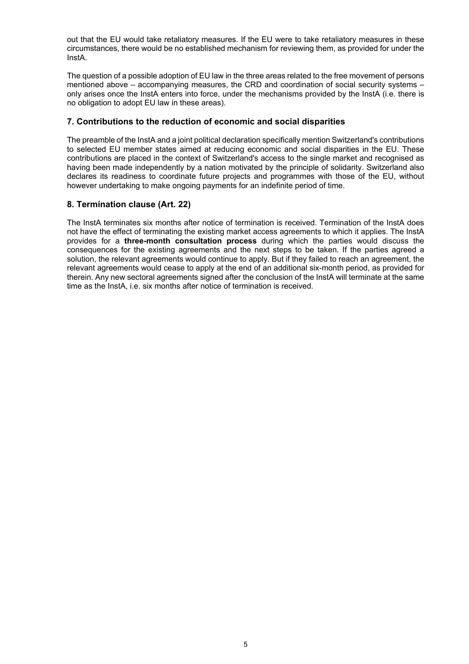out that the EU would take retaliatory measures. If the EU were to take retaliatory measures in these circumstances, there would be no established mechanism for reviewing them, as provided for under the InstA.

The question of a possible adoption of EU law in the three areas related to the free movement of persons mentioned above – accompanying measures, the CRD and coordination of social security systems – only arises once the InstA enters into force, under the mechanisms provided by the InstA (i.e. there is no obligation to adopt EU law in these areas).

#### **7. Contributions to the reduction of economic and social disparities**

The preamble of the InstA and a joint political declaration specifically mention Switzerland's contributions to selected EU member states aimed at reducing economic and social disparities in the EU. These contributions are placed in the context of Switzerland's access to the single market and recognised as having been made independently by a nation motivated by the principle of solidarity. Switzerland also declares its readiness to coordinate future projects and programmes with those of the EU, without however undertaking to make ongoing payments for an indefinite period of time.

# **8. Termination clause (Art. 22)**

The InstA terminates six months after notice of termination is received. Termination of the InstA does not have the effect of terminating the existing market access agreements to which it applies. The InstA provides for a **three-month consultation process** during which the parties would discuss the consequences for the existing agreements and the next steps to be taken. If the parties agreed a solution, the relevant agreements would continue to apply. But if they failed to reach an agreement, the relevant agreements would cease to apply at the end of an additional six-month period, as provided for therein. Any new sectoral agreements signed after the conclusion of the InstA will terminate at the same time as the InstA, i.e. six months after notice of termination is received.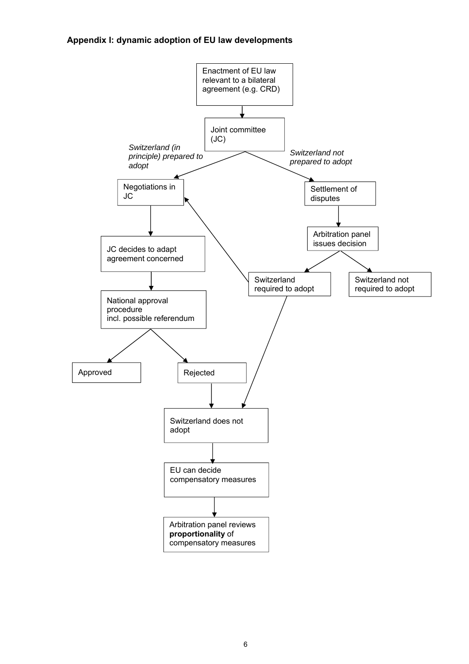# **Appendix I: dynamic adoption of EU law developments**